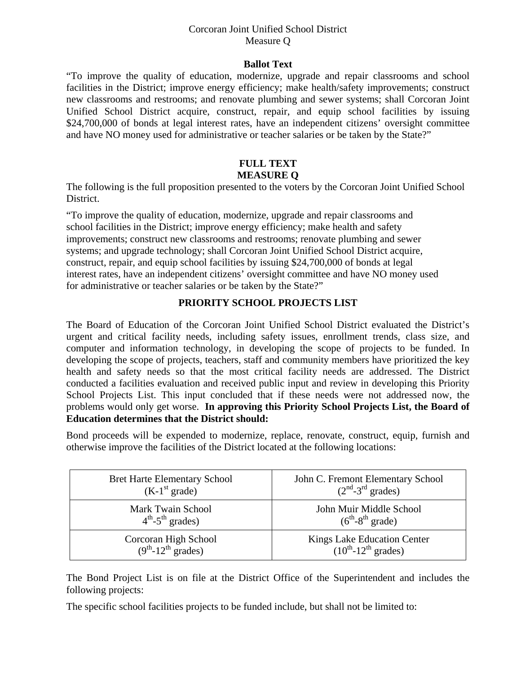#### Corcoran Joint Unified School District Measure Q

#### **Ballot Text**

"To improve the quality of education, modernize, upgrade and repair classrooms and school facilities in the District; improve energy efficiency; make health/safety improvements; construct new classrooms and restrooms; and renovate plumbing and sewer systems; shall Corcoran Joint Unified School District acquire, construct, repair, and equip school facilities by issuing \$24,700,000 of bonds at legal interest rates, have an independent citizens' oversight committee and have NO money used for administrative or teacher salaries or be taken by the State?"

# **FULL TEXT MEASURE Q**

The following is the full proposition presented to the voters by the Corcoran Joint Unified School District.

"To improve the quality of education, modernize, upgrade and repair classrooms and school facilities in the District; improve energy efficiency; make health and safety improvements; construct new classrooms and restrooms; renovate plumbing and sewer systems; and upgrade technology; shall Corcoran Joint Unified School District acquire, construct, repair, and equip school facilities by issuing \$24,700,000 of bonds at legal interest rates, have an independent citizens' oversight committee and have NO money used for administrative or teacher salaries or be taken by the State?"

## **PRIORITY SCHOOL PROJECTS LIST**

The Board of Education of the Corcoran Joint Unified School District evaluated the District's urgent and critical facility needs, including safety issues, enrollment trends, class size, and computer and information technology, in developing the scope of projects to be funded. In developing the scope of projects, teachers, staff and community members have prioritized the key health and safety needs so that the most critical facility needs are addressed. The District conducted a facilities evaluation and received public input and review in developing this Priority School Projects List. This input concluded that if these needs were not addressed now, the problems would only get worse. **In approving this Priority School Projects List, the Board of Education determines that the District should:** 

Bond proceeds will be expended to modernize, replace, renovate, construct, equip, furnish and otherwise improve the facilities of the District located at the following locations:

| <b>Bret Harte Elementary School</b>      | John C. Fremont Elementary School |
|------------------------------------------|-----------------------------------|
| $(K-1st grade)$                          | $(2nd-3rd$ grades)                |
| Mark Twain School                        | John Muir Middle School           |
| $4^{\text{th}}$ -5 <sup>th</sup> grades) | $(6^{th} - 8^{th} \text{ grade})$ |
| Corcoran High School                     | Kings Lake Education Center       |
| $(9th-12th$ grades)                      | $(10^{th} - 12^{th}$ grades)      |

The Bond Project List is on file at the District Office of the Superintendent and includes the following projects:

The specific school facilities projects to be funded include, but shall not be limited to: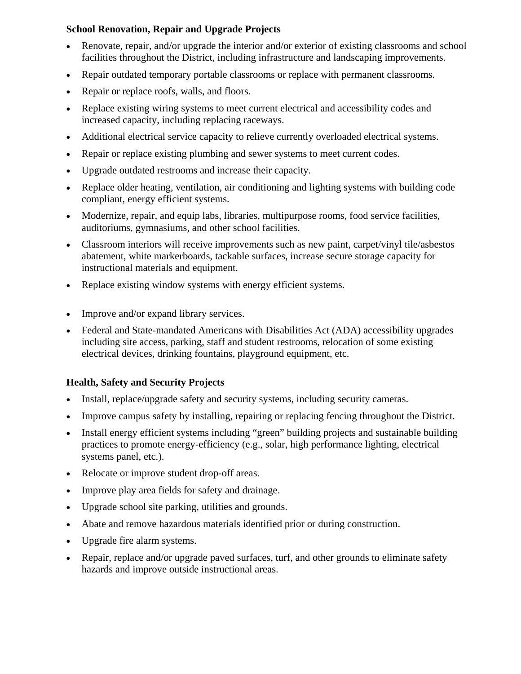# **School Renovation, Repair and Upgrade Projects**

- Renovate, repair, and/or upgrade the interior and/or exterior of existing classrooms and school facilities throughout the District, including infrastructure and landscaping improvements.
- Repair outdated temporary portable classrooms or replace with permanent classrooms.
- Repair or replace roofs, walls, and floors.
- Replace existing wiring systems to meet current electrical and accessibility codes and increased capacity, including replacing raceways.
- Additional electrical service capacity to relieve currently overloaded electrical systems.
- Repair or replace existing plumbing and sewer systems to meet current codes.
- Upgrade outdated restrooms and increase their capacity.
- Replace older heating, ventilation, air conditioning and lighting systems with building code compliant, energy efficient systems.
- Modernize, repair, and equip labs, libraries, multipurpose rooms, food service facilities, auditoriums, gymnasiums, and other school facilities.
- Classroom interiors will receive improvements such as new paint, carpet/vinyl tile/asbestos abatement, white markerboards, tackable surfaces, increase secure storage capacity for instructional materials and equipment.
- Replace existing window systems with energy efficient systems.
- Improve and/or expand library services.
- Federal and State-mandated Americans with Disabilities Act (ADA) accessibility upgrades including site access, parking, staff and student restrooms, relocation of some existing electrical devices, drinking fountains, playground equipment, etc.

# **Health, Safety and Security Projects**

- Install, replace/upgrade safety and security systems, including security cameras.
- Improve campus safety by installing, repairing or replacing fencing throughout the District.
- Install energy efficient systems including "green" building projects and sustainable building practices to promote energy-efficiency (e.g., solar, high performance lighting, electrical systems panel, etc.).
- Relocate or improve student drop-off areas.
- Improve play area fields for safety and drainage.
- Upgrade school site parking, utilities and grounds.
- Abate and remove hazardous materials identified prior or during construction.
- Upgrade fire alarm systems.
- Repair, replace and/or upgrade paved surfaces, turf, and other grounds to eliminate safety hazards and improve outside instructional areas.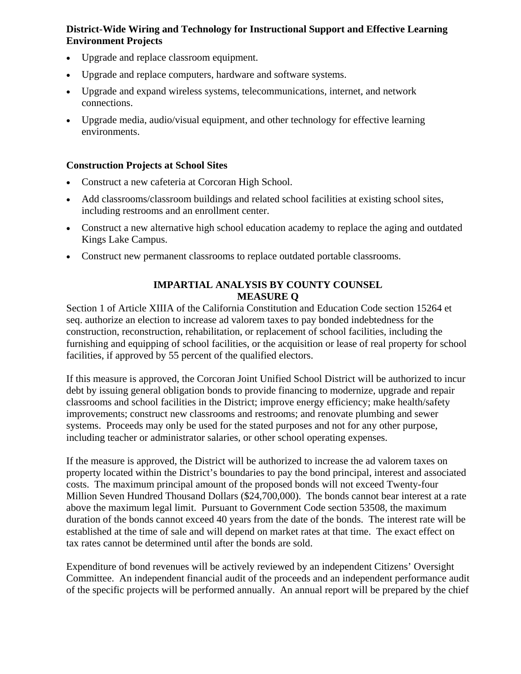## **District-Wide Wiring and Technology for Instructional Support and Effective Learning Environment Projects**

- Upgrade and replace classroom equipment.
- Upgrade and replace computers, hardware and software systems.
- Upgrade and expand wireless systems, telecommunications, internet, and network connections.
- Upgrade media, audio/visual equipment, and other technology for effective learning environments.

## **Construction Projects at School Sites**

- Construct a new cafeteria at Corcoran High School.
- Add classrooms/classroom buildings and related school facilities at existing school sites, including restrooms and an enrollment center.
- Construct a new alternative high school education academy to replace the aging and outdated Kings Lake Campus.
- Construct new permanent classrooms to replace outdated portable classrooms.

## **IMPARTIAL ANALYSIS BY COUNTY COUNSEL MEASURE Q**

Section 1 of Article XIIIA of the California Constitution and Education Code section 15264 et seq. authorize an election to increase ad valorem taxes to pay bonded indebtedness for the construction, reconstruction, rehabilitation, or replacement of school facilities, including the furnishing and equipping of school facilities, or the acquisition or lease of real property for school facilities, if approved by 55 percent of the qualified electors.

If this measure is approved, the Corcoran Joint Unified School District will be authorized to incur debt by issuing general obligation bonds to provide financing to modernize, upgrade and repair classrooms and school facilities in the District; improve energy efficiency; make health/safety improvements; construct new classrooms and restrooms; and renovate plumbing and sewer systems. Proceeds may only be used for the stated purposes and not for any other purpose, including teacher or administrator salaries, or other school operating expenses.

If the measure is approved, the District will be authorized to increase the ad valorem taxes on property located within the District's boundaries to pay the bond principal, interest and associated costs. The maximum principal amount of the proposed bonds will not exceed Twenty-four Million Seven Hundred Thousand Dollars (\$24,700,000). The bonds cannot bear interest at a rate above the maximum legal limit. Pursuant to Government Code section 53508, the maximum duration of the bonds cannot exceed 40 years from the date of the bonds. The interest rate will be established at the time of sale and will depend on market rates at that time. The exact effect on tax rates cannot be determined until after the bonds are sold.

Expenditure of bond revenues will be actively reviewed by an independent Citizens' Oversight Committee. An independent financial audit of the proceeds and an independent performance audit of the specific projects will be performed annually. An annual report will be prepared by the chief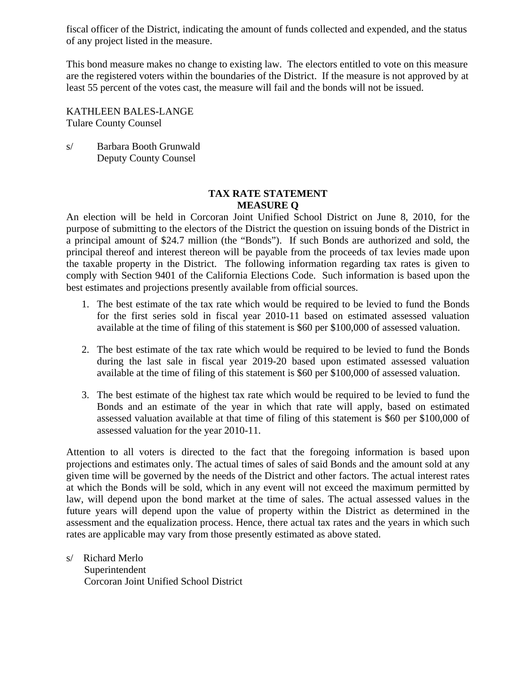fiscal officer of the District, indicating the amount of funds collected and expended, and the status of any project listed in the measure.

This bond measure makes no change to existing law. The electors entitled to vote on this measure are the registered voters within the boundaries of the District. If the measure is not approved by at least 55 percent of the votes cast, the measure will fail and the bonds will not be issued.

KATHLEEN BALES-LANGE Tulare County Counsel

s/ Barbara Booth Grunwald Deputy County Counsel

#### **TAX RATE STATEMENT MEASURE Q**

An election will be held in Corcoran Joint Unified School District on June 8, 2010, for the purpose of submitting to the electors of the District the question on issuing bonds of the District in a principal amount of \$24.7 million (the "Bonds"). If such Bonds are authorized and sold, the principal thereof and interest thereon will be payable from the proceeds of tax levies made upon the taxable property in the District. The following information regarding tax rates is given to comply with Section 9401 of the California Elections Code. Such information is based upon the best estimates and projections presently available from official sources.

- 1. The best estimate of the tax rate which would be required to be levied to fund the Bonds for the first series sold in fiscal year 2010-11 based on estimated assessed valuation available at the time of filing of this statement is \$60 per \$100,000 of assessed valuation.
- 2. The best estimate of the tax rate which would be required to be levied to fund the Bonds during the last sale in fiscal year 2019-20 based upon estimated assessed valuation available at the time of filing of this statement is \$60 per \$100,000 of assessed valuation.
- 3. The best estimate of the highest tax rate which would be required to be levied to fund the Bonds and an estimate of the year in which that rate will apply, based on estimated assessed valuation available at that time of filing of this statement is \$60 per \$100,000 of assessed valuation for the year 2010-11.

Attention to all voters is directed to the fact that the foregoing information is based upon projections and estimates only. The actual times of sales of said Bonds and the amount sold at any given time will be governed by the needs of the District and other factors. The actual interest rates at which the Bonds will be sold, which in any event will not exceed the maximum permitted by law, will depend upon the bond market at the time of sales. The actual assessed values in the future years will depend upon the value of property within the District as determined in the assessment and the equalization process. Hence, there actual tax rates and the years in which such rates are applicable may vary from those presently estimated as above stated.

s/ Richard Merlo Superintendent Corcoran Joint Unified School District